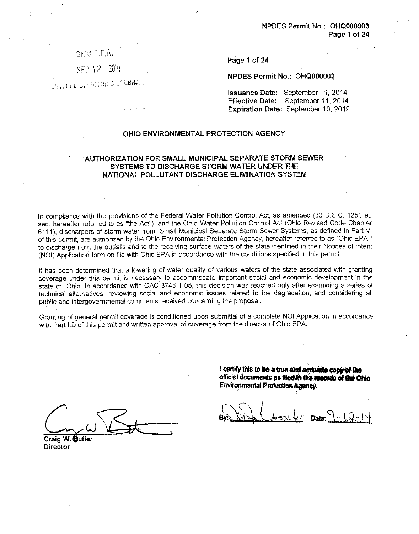NPDES Permit No.: OHQ000003 Page 1 of 24

OHIO E.P.A.

 $SFP$   $12$ -2816

LATERED DIRECTOR'S JOURNAL

Page 1 of 24

NPDES Permit No.: OHQ000003

**Issuance Date:** September 11, 2014 Effective Date: September 11, 2014 Expiration Date: September 10, 2019

## OHIO ENVIRONMENTAL PROTECTION AGENCY

## AUTHORIZATION FOR SMALL MUNICIPAL SEPARATE STORM SEWER SYSTEMS TO DISCHARGE STORM WATER UNDER THE NATIONAL POLLUTANT DISCHARGE ELIMINATION SYSTEM

In compliance with the provisions of the Federal Water Pollution Control Act, as amended (33 U.S.C. 1251 et. seq, hereafter referred to as "the Act"), and the Ohio Water Pollution Control Act (Ohio Revised Code Chapter 6111), dischargers of storm water from Small Municipal Separate Storm Sewer Systems, as defined in Part VI of this permit, are authorized by the Ohio Environmental Protection Agency, hereafter referred to as "Ohio EPA," to discharge from the outfalls and to the receiving surface waters of the state identified in their Notices of Intent (NOI) Application form on file with Ohio EPA in accordance with the conditions specified in this permit.

It has been determined that a lowering of water quality of various waters of the state associated with granting coverage under this permit is necessary to accommodate important social and economic development in the state of Ohio. In accordance with OAC 3745-1-05, this decision was reached only after examining a series of technical alternatives, reviewing social and economic issues related to the degradation, and considering all public and intergovernmental comments received concerning the proposal.

Granting of general permit coverage is conditioned upon submittal of a complete NOI Application in accordance with Part I.D of this permit and written approval of coverage from the director of Ohio EPA.

> I certify this to be a true and accurate copy of the official documents as filed in the records of the Ohio **Environmental Protection Agency.**

 $D$ ate:  $9 - 12 - 14$ 

Craig W. Outler **Director**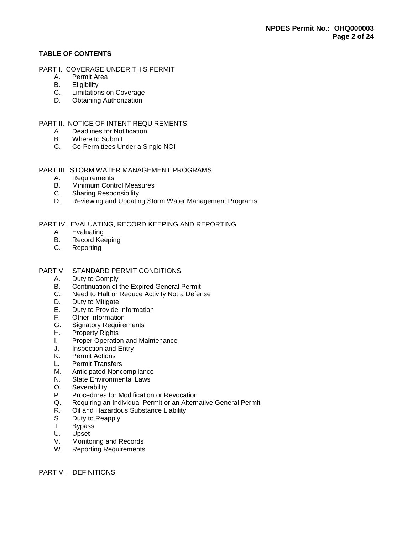## **TABLE OF CONTENTS**

- PART I. COVERAGE UNDER THIS PERMIT
	- A. Permit Area
	- B. Eligibility
	- C. Limitations on Coverage
	- D. Obtaining Authorization

## PART II. NOTICE OF INTENT REQUIREMENTS

- A. Deadlines for Notification
- B. Where to Submit
- C. Co-Permittees Under a Single NOI

## PART III. STORM WATER MANAGEMENT PROGRAMS

- A. Requirements
- B. Minimum Control Measures
- C. Sharing Responsibility
- D. Reviewing and Updating Storm Water Management Programs

## PART IV. EVALUATING, RECORD KEEPING AND REPORTING

- A. Evaluating
- B. Record Keeping
- C. Reporting

# PART V. STANDARD PERMIT CONDITIONS

- A. Duty to Comply
- B. Continuation of the Expired General Permit
- C. Need to Halt or Reduce Activity Not a Defense
- D. Duty to Mitigate
- E. Duty to Provide Information
- F. Other Information
- G. Signatory Requirements
- H. Property Rights
- I. Proper Operation and Maintenance
- J. Inspection and Entry<br>K. Permit Actions
- K. Permit Actions<br>L. Permit Transfe
- Permit Transfers
- M. Anticipated Noncompliance
- N. State Environmental Laws
- O. Severability
- P. Procedures for Modification or Revocation
- Q. Requiring an Individual Permit or an Alternative General Permit
- R. Oil and Hazardous Substance Liability
- S. Duty to Reapply
- T. Bypass<br>U. Upset
- Upset
- V. Monitoring and Records<br>W. Reporting Requirements
- **Reporting Requirements**

PART VI. DEFINITIONS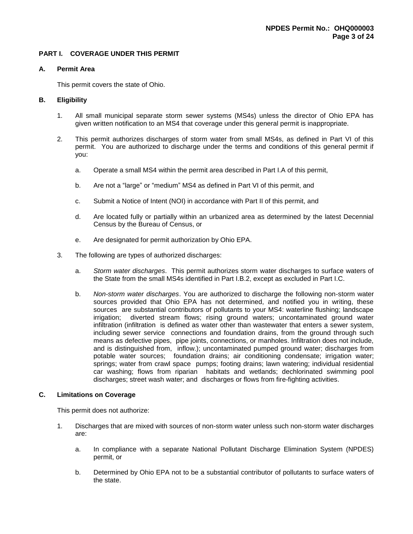## **PART I. COVERAGE UNDER THIS PERMIT**

### **A. Permit Area**

This permit covers the state of Ohio.

## **B. Eligibility**

- 1. All small municipal separate storm sewer systems (MS4s) unless the director of Ohio EPA has given written notification to an MS4 that coverage under this general permit is inappropriate.
- 2. This permit authorizes discharges of storm water from small MS4s, as defined in Part VI of this permit. You are authorized to discharge under the terms and conditions of this general permit if you:
	- a. Operate a small MS4 within the permit area described in Part I.A of this permit,
	- b. Are not a "large" or "medium" MS4 as defined in Part VI of this permit, and
	- c. Submit a Notice of Intent (NOI) in accordance with Part II of this permit, and
	- d. Are located fully or partially within an urbanized area as determined by the latest Decennial Census by the Bureau of Census, or
	- e. Are designated for permit authorization by Ohio EPA.
- 3. The following are types of authorized discharges:
	- a. *Storm water discharges*. This permit authorizes storm water discharges to surface waters of the State from the small MS4s identified in Part I.B.2, except as excluded in Part I.C.
	- b. *Non-storm water discharges*. You are authorized to discharge the following non-storm water sources provided that Ohio EPA has not determined, and notified you in writing, these sources are substantial contributors of pollutants to your MS4: waterline flushing; landscape irrigation; diverted stream flows; rising ground waters; uncontaminated ground water infiltration (infiltration is defined as water other than wastewater that enters a sewer system, including sewer service connections and foundation drains, from the ground through such means as defective pipes, pipe joints, connections, or manholes. Infiltration does not include, and is distinguished from, inflow.); uncontaminated pumped ground water; discharges from potable water sources; foundation drains; air conditioning condensate; irrigation water; springs; water from crawl space pumps; footing drains; lawn watering; individual residential car washing; flows from riparian habitats and wetlands; dechlorinated swimming pool discharges; street wash water; and discharges or flows from fire-fighting activities.

## **C. Limitations on Coverage**

This permit does not authorize:

- 1. Discharges that are mixed with sources of non-storm water unless such non-storm water discharges are:
	- a. In compliance with a separate National Pollutant Discharge Elimination System (NPDES) permit, or
	- b. Determined by Ohio EPA not to be a substantial contributor of pollutants to surface waters of the state.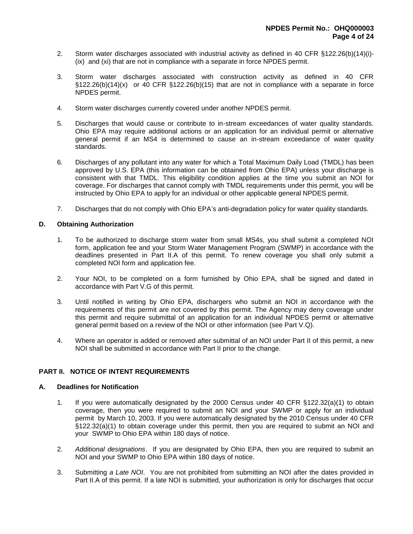- 2. Storm water discharges associated with industrial activity as defined in 40 CFR §122.26(b)(14)(i)- (ix) and (xi) that are not in compliance with a separate in force NPDES permit.
- 3. Storm water discharges associated with construction activity as defined in 40 CFR §122.26(b)(14)(x) or 40 CFR §122.26(b)(15) that are not in compliance with a separate in force NPDES permit.
- 4. Storm water discharges currently covered under another NPDES permit.
- 5. Discharges that would cause or contribute to in-stream exceedances of water quality standards. Ohio EPA may require additional actions or an application for an individual permit or alternative general permit if an MS4 is determined to cause an in-stream exceedance of water quality standards.
- 6. Discharges of any pollutant into any water for which a Total Maximum Daily Load (TMDL) has been approved by U.S. EPA (this information can be obtained from Ohio EPA) unless your discharge is consistent with that TMDL. This eligibility condition applies at the time you submit an NOI for coverage. For discharges that cannot comply with TMDL requirements under this permit, you will be instructed by Ohio EPA to apply for an individual or other applicable general NPDES permit.
- 7. Discharges that do not comply with Ohio EPA's anti-degradation policy for water quality standards.

## **D. Obtaining Authorization**

- 1. To be authorized to discharge storm water from small MS4s, you shall submit a completed NOI form, application fee and your Storm Water Management Program (SWMP) in accordance with the deadlines presented in Part II.A of this permit. To renew coverage you shall only submit a completed NOI form and application fee.
- 2. Your NOI, to be completed on a form furnished by Ohio EPA, shall be signed and dated in accordance with Part V.G of this permit.
- 3. Until notified in writing by Ohio EPA, dischargers who submit an NOI in accordance with the requirements of this permit are not covered by this permit. The Agency may deny coverage under this permit and require submittal of an application for an individual NPDES permit or alternative general permit based on a review of the NOI or other information (see Part V.Q).
- 4. Where an operator is added or removed after submittal of an NOI under Part II of this permit, a new NOI shall be submitted in accordance with Part II prior to the change.

## **PART II. NOTICE OF INTENT REQUIREMENTS**

## **A. Deadlines for Notification**

- 1. If you were automatically designated by the 2000 Census under 40 CFR §122.32(a)(1) to obtain coverage, then you were required to submit an NOI and your SWMP or apply for an individual permit by March 10, 2003. If you were automatically designated by the 2010 Census under 40 CFR §122.32(a)(1) to obtain coverage under this permit, then you are required to submit an NOI and your SWMP to Ohio EPA within 180 days of notice.
- 2. *Additional designations*. If you are designated by Ohio EPA, then you are required to submit an NOI and your SWMP to Ohio EPA within 180 days of notice.
- 3. Submitting *a Late NOI*. You are not prohibited from submitting an NOI after the dates provided in Part II.A of this permit. If a late NOI is submitted, your authorization is only for discharges that occur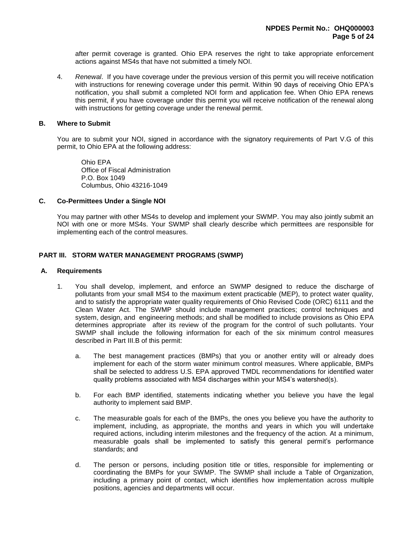after permit coverage is granted. Ohio EPA reserves the right to take appropriate enforcement actions against MS4s that have not submitted a timely NOI.

4. *Renewal*. If you have coverage under the previous version of this permit you will receive notification with instructions for renewing coverage under this permit. Within 90 days of receiving Ohio EPA's notification, you shall submit a completed NOI form and application fee. When Ohio EPA renews this permit, if you have coverage under this permit you will receive notification of the renewal along with instructions for getting coverage under the renewal permit.

#### **B. Where to Submit**

You are to submit your NOI, signed in accordance with the signatory requirements of Part V.G of this permit, to Ohio EPA at the following address:

Ohio EPA Office of Fiscal Administration P.O. Box 1049 Columbus, Ohio 43216-1049

#### **C. Co-Permittees Under a Single NOI**

You may partner with other MS4s to develop and implement your SWMP. You may also jointly submit an NOI with one or more MS4s. Your SWMP shall clearly describe which permittees are responsible for implementing each of the control measures.

#### **PART III. STORM WATER MANAGEMENT PROGRAMS (SWMP)**

#### **A. Requirements**

- 1. You shall develop, implement, and enforce an SWMP designed to reduce the discharge of pollutants from your small MS4 to the maximum extent practicable (MEP), to protect water quality, and to satisfy the appropriate water quality requirements of Ohio Revised Code (ORC) 6111 and the Clean Water Act. The SWMP should include management practices; control techniques and system, design, and engineering methods; and shall be modified to include provisions as Ohio EPA determines appropriate after its review of the program for the control of such pollutants. Your SWMP shall include the following information for each of the six minimum control measures described in Part III.B of this permit:
	- a. The best management practices (BMPs) that you or another entity will or already does implement for each of the storm water minimum control measures. Where applicable, BMPs shall be selected to address U.S. EPA approved TMDL recommendations for identified water quality problems associated with MS4 discharges within your MS4's watershed(s).
	- b. For each BMP identified, statements indicating whether you believe you have the legal authority to implement said BMP.
	- c. The measurable goals for each of the BMPs, the ones you believe you have the authority to implement, including, as appropriate, the months and years in which you will undertake required actions, including interim milestones and the frequency of the action. At a minimum, measurable goals shall be implemented to satisfy this general permit's performance standards; and
	- d. The person or persons, including position title or titles, responsible for implementing or coordinating the BMPs for your SWMP. The SWMP shall include a Table of Organization, including a primary point of contact, which identifies how implementation across multiple positions, agencies and departments will occur.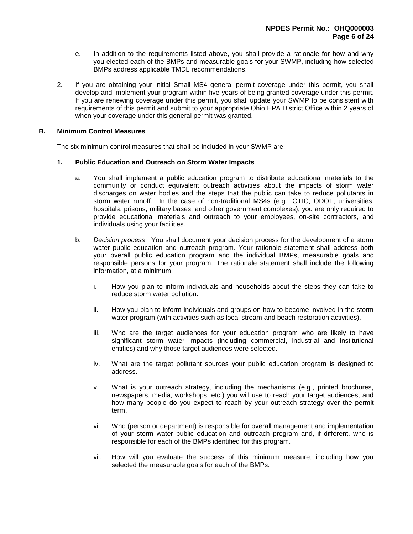- e. In addition to the requirements listed above, you shall provide a rationale for how and why you elected each of the BMPs and measurable goals for your SWMP, including how selected BMPs address applicable TMDL recommendations.
- 2. If you are obtaining your initial Small MS4 general permit coverage under this permit, you shall develop and implement your program within five years of being granted coverage under this permit. If you are renewing coverage under this permit, you shall update your SWMP to be consistent with requirements of this permit and submit to your appropriate Ohio EPA District Office within 2 years of when your coverage under this general permit was granted.

## **B. Minimum Control Measures**

The six minimum control measures that shall be included in your SWMP are:

### **1. Public Education and Outreach on Storm Water Impacts**

- a. You shall implement a public education program to distribute educational materials to the community or conduct equivalent outreach activities about the impacts of storm water discharges on water bodies and the steps that the public can take to reduce pollutants in storm water runoff. In the case of non-traditional MS4s (e.g., OTIC, ODOT, universities, hospitals, prisons, military bases, and other government complexes), you are only required to provide educational materials and outreach to your employees, on-site contractors, and individuals using your facilities.
- b. *Decision process*. You shall document your decision process for the development of a storm water public education and outreach program. Your rationale statement shall address both your overall public education program and the individual BMPs, measurable goals and responsible persons for your program. The rationale statement shall include the following information, at a minimum:
	- i. How you plan to inform individuals and households about the steps they can take to reduce storm water pollution.
	- ii. How you plan to inform individuals and groups on how to become involved in the storm water program (with activities such as local stream and beach restoration activities).
	- iii. Who are the target audiences for your education program who are likely to have significant storm water impacts (including commercial, industrial and institutional entities) and why those target audiences were selected.
	- iv. What are the target pollutant sources your public education program is designed to address.
	- v. What is your outreach strategy, including the mechanisms (e.g., printed brochures, newspapers, media, workshops, etc.) you will use to reach your target audiences, and how many people do you expect to reach by your outreach strategy over the permit term.
	- vi. Who (person or department) is responsible for overall management and implementation of your storm water public education and outreach program and, if different, who is responsible for each of the BMPs identified for this program.
	- vii. How will you evaluate the success of this minimum measure, including how you selected the measurable goals for each of the BMPs.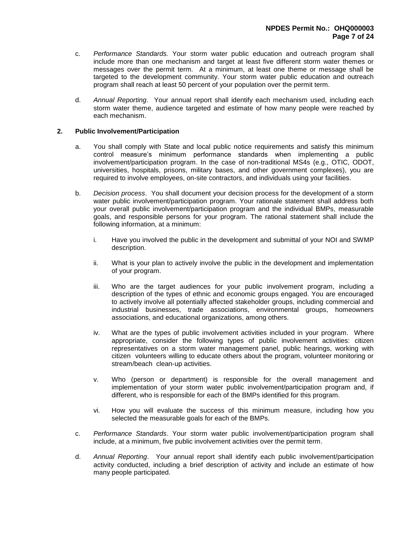- c. *Performance Standards.* Your storm water public education and outreach program shall include more than one mechanism and target at least five different storm water themes or messages over the permit term. At a minimum, at least one theme or message shall be targeted to the development community. Your storm water public education and outreach program shall reach at least 50 percent of your population over the permit term.
- d. *Annual Reporting*. Your annual report shall identify each mechanism used, including each storm water theme, audience targeted and estimate of how many people were reached by each mechanism.

## **2. Public Involvement/Participation**

- a. You shall comply with State and local public notice requirements and satisfy this minimum control measure's minimum performance standards when implementing a public involvement/participation program. In the case of non-traditional MS4s (e.g., OTIC, ODOT, universities, hospitals, prisons, military bases, and other government complexes), you are required to involve employees, on-site contractors, and individuals using your facilities.
- b. *Decision process*. You shall document your decision process for the development of a storm water public involvement/participation program. Your rationale statement shall address both your overall public involvement/participation program and the individual BMPs, measurable goals, and responsible persons for your program. The rational statement shall include the following information, at a minimum:
	- i. Have you involved the public in the development and submittal of your NOI and SWMP description.
	- ii. What is your plan to actively involve the public in the development and implementation of your program.
	- iii. Who are the target audiences for your public involvement program, including a description of the types of ethnic and economic groups engaged. You are encouraged to actively involve all potentially affected stakeholder groups, including commercial and industrial businesses, trade associations, environmental groups, homeowners associations, and educational organizations, among others.
	- iv. What are the types of public involvement activities included in your program. Where appropriate, consider the following types of public involvement activities: citizen representatives on a storm water management panel, public hearings, working with citizen volunteers willing to educate others about the program, volunteer monitoring or stream/beach clean-up activities.
	- v. Who (person or department) is responsible for the overall management and implementation of your storm water public involvement/participation program and, if different, who is responsible for each of the BMPs identified for this program.
	- vi. How you will evaluate the success of this minimum measure, including how you selected the measurable goals for each of the BMPs.
- c. *Performance Standards*. Your storm water public involvement/participation program shall include, at a minimum, five public involvement activities over the permit term.
- d. *Annual Reporting*. Your annual report shall identify each public involvement/participation activity conducted, including a brief description of activity and include an estimate of how many people participated.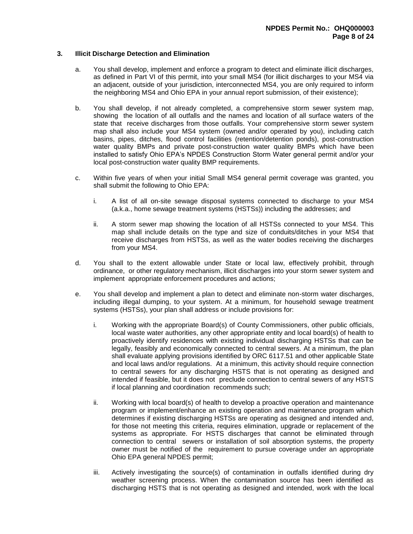### **3. Illicit Discharge Detection and Elimination**

- a. You shall develop, implement and enforce a program to detect and eliminate illicit discharges, as defined in Part VI of this permit, into your small MS4 (for illicit discharges to your MS4 via an adjacent, outside of your jurisdiction, interconnected MS4, you are only required to inform the neighboring MS4 and Ohio EPA in your annual report submission, of their existence);
- b. You shall develop, if not already completed, a comprehensive storm sewer system map, showing the location of all outfalls and the names and location of all surface waters of the state that receive discharges from those outfalls. Your comprehensive storm sewer system map shall also include your MS4 system (owned and/or operated by you), including catch basins, pipes, ditches, flood control facilities (retention/detention ponds), post-construction water quality BMPs and private post-construction water quality BMPs which have been installed to satisfy Ohio EPA's NPDES Construction Storm Water general permit and/or your local post-construction water quality BMP requirements.
- c. Within five years of when your initial Small MS4 general permit coverage was granted, you shall submit the following to Ohio EPA:
	- i. A list of all on-site sewage disposal systems connected to discharge to your MS4 (a.k.a., home sewage treatment systems (HSTSs)) including the addresses; and
	- ii. A storm sewer map showing the location of all HSTSs connected to your MS4. This map shall include details on the type and size of conduits/ditches in your MS4 that receive discharges from HSTSs, as well as the water bodies receiving the discharges from your MS4.
- d. You shall to the extent allowable under State or local law, effectively prohibit, through ordinance, or other regulatory mechanism, illicit discharges into your storm sewer system and implement appropriate enforcement procedures and actions;
- e. You shall develop and implement a plan to detect and eliminate non-storm water discharges, including illegal dumping, to your system. At a minimum, for household sewage treatment systems (HSTSs), your plan shall address or include provisions for:
	- i. Working with the appropriate Board(s) of County Commissioners, other public officials, local waste water authorities, any other appropriate entity and local board(s) of health to proactively identify residences with existing individual discharging HSTSs that can be legally, feasibly and economically connected to central sewers. At a minimum, the plan shall evaluate applying provisions identified by ORC 6117.51 and other applicable State and local laws and/or regulations. At a minimum, this activity should require connection to central sewers for any discharging HSTS that is not operating as designed and intended if feasible, but it does not preclude connection to central sewers of any HSTS if local planning and coordination recommends such;
	- ii. Working with local board(s) of health to develop a proactive operation and maintenance program or implement/enhance an existing operation and maintenance program which determines if existing discharging HSTSs are operating as designed and intended and, for those not meeting this criteria, requires elimination, upgrade or replacement of the systems as appropriate. For HSTS discharges that cannot be eliminated through connection to central sewers or installation of soil absorption systems, the property owner must be notified of the requirement to pursue coverage under an appropriate Ohio EPA general NPDES permit;
	- iii. Actively investigating the source(s) of contamination in outfalls identified during dry weather screening process. When the contamination source has been identified as discharging HSTS that is not operating as designed and intended, work with the local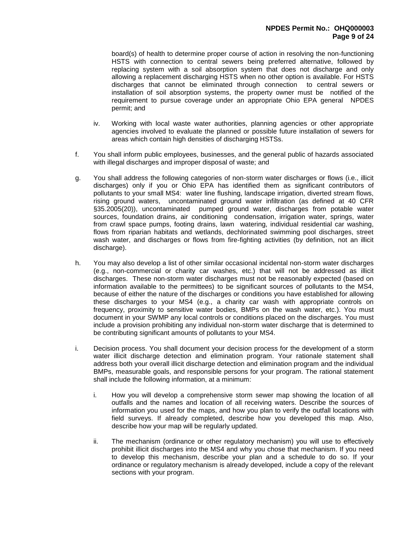board(s) of health to determine proper course of action in resolving the non-functioning HSTS with connection to central sewers being preferred alternative, followed by replacing system with a soil absorption system that does not discharge and only allowing a replacement discharging HSTS when no other option is available. For HSTS discharges that cannot be eliminated through connection to central sewers or installation of soil absorption systems, the property owner must be notified of the requirement to pursue coverage under an appropriate Ohio EPA general NPDES permit; and

- iv. Working with local waste water authorities, planning agencies or other appropriate agencies involved to evaluate the planned or possible future installation of sewers for areas which contain high densities of discharging HSTSs.
- f. You shall inform public employees, businesses, and the general public of hazards associated with illegal discharges and improper disposal of waste; and
- g. You shall address the following categories of non-storm water discharges or flows (i.e., illicit discharges) only if you or Ohio EPA has identified them as significant contributors of pollutants to your small MS4: water line flushing, landscape irrigation, diverted stream flows, rising ground waters, uncontaminated ground water infiltration (as defined at 40 CFR §35.2005(20)), uncontaminated pumped ground water, discharges from potable water sources, foundation drains, air conditioning condensation, irrigation water, springs, water from crawl space pumps, footing drains, lawn watering, individual residential car washing, flows from riparian habitats and wetlands, dechlorinated swimming pool discharges, street wash water, and discharges or flows from fire-fighting activities (by definition, not an illicit discharge).
- h. You may also develop a list of other similar occasional incidental non-storm water discharges (e.g., non-commercial or charity car washes, etc.) that will not be addressed as illicit discharges. These non-storm water discharges must not be reasonably expected (based on information available to the permittees) to be significant sources of pollutants to the MS4, because of either the nature of the discharges or conditions you have established for allowing these discharges to your MS4 (e.g., a charity car wash with appropriate controls on frequency, proximity to sensitive water bodies, BMPs on the wash water, etc.). You must document in your SWMP any local controls or conditions placed on the discharges. You must include a provision prohibiting any individual non-storm water discharge that is determined to be contributing significant amounts of pollutants to your MS4.
- i. Decision process. You shall document your decision process for the development of a storm water illicit discharge detection and elimination program. Your rationale statement shall address both your overall illicit discharge detection and elimination program and the individual BMPs, measurable goals, and responsible persons for your program. The rational statement shall include the following information, at a minimum:
	- i. How you will develop a comprehensive storm sewer map showing the location of all outfalls and the names and location of all receiving waters. Describe the sources of information you used for the maps, and how you plan to verify the outfall locations with field surveys. If already completed, describe how you developed this map. Also, describe how your map will be regularly updated.
	- ii. The mechanism (ordinance or other regulatory mechanism) you will use to effectively prohibit illicit discharges into the MS4 and why you chose that mechanism. If you need to develop this mechanism, describe your plan and a schedule to do so. If your ordinance or regulatory mechanism is already developed, include a copy of the relevant sections with your program.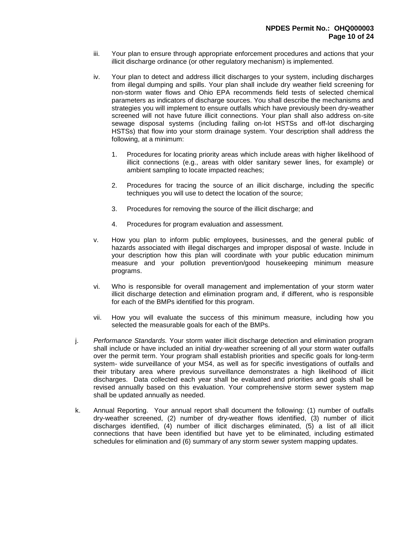- iii. Your plan to ensure through appropriate enforcement procedures and actions that your illicit discharge ordinance (or other regulatory mechanism) is implemented.
- iv. Your plan to detect and address illicit discharges to your system, including discharges from illegal dumping and spills. Your plan shall include dry weather field screening for non-storm water flows and Ohio EPA recommends field tests of selected chemical parameters as indicators of discharge sources. You shall describe the mechanisms and strategies you will implement to ensure outfalls which have previously been dry-weather screened will not have future illicit connections. Your plan shall also address on-site sewage disposal systems (including failing on-lot HSTSs and off-lot discharging HSTSs) that flow into your storm drainage system. Your description shall address the following, at a minimum:
	- 1. Procedures for locating priority areas which include areas with higher likelihood of illicit connections (e.g., areas with older sanitary sewer lines, for example) or ambient sampling to locate impacted reaches;
	- 2. Procedures for tracing the source of an illicit discharge, including the specific techniques you will use to detect the location of the source;
	- 3. Procedures for removing the source of the illicit discharge; and
	- 4. Procedures for program evaluation and assessment.
- v. How you plan to inform public employees, businesses, and the general public of hazards associated with illegal discharges and improper disposal of waste. Include in your description how this plan will coordinate with your public education minimum measure and your pollution prevention/good housekeeping minimum measure programs.
- vi. Who is responsible for overall management and implementation of your storm water illicit discharge detection and elimination program and, if different, who is responsible for each of the BMPs identified for this program.
- vii. How you will evaluate the success of this minimum measure, including how you selected the measurable goals for each of the BMPs.
- j. *Performance Standards.* Your storm water illicit discharge detection and elimination program shall include or have included an initial dry-weather screening of all your storm water outfalls over the permit term. Your program shall establish priorities and specific goals for long-term system- wide surveillance of your MS4, as well as for specific investigations of outfalls and their tributary area where previous surveillance demonstrates a high likelihood of illicit discharges. Data collected each year shall be evaluated and priorities and goals shall be revised annually based on this evaluation. Your comprehensive storm sewer system map shall be updated annually as needed.
- k. Annual Reporting. Your annual report shall document the following: (1) number of outfalls dry-weather screened, (2) number of dry-weather flows identified, (3) number of illicit discharges identified, (4) number of illicit discharges eliminated, (5) a list of all illicit connections that have been identified but have yet to be eliminated, including estimated schedules for elimination and (6) summary of any storm sewer system mapping updates.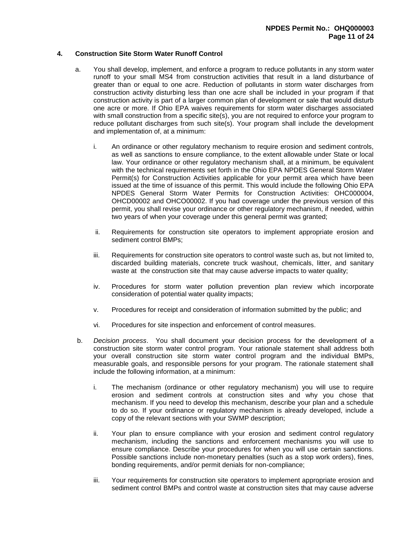### **4. Construction Site Storm Water Runoff Control**

- a. You shall develop, implement, and enforce a program to reduce pollutants in any storm water runoff to your small MS4 from construction activities that result in a land disturbance of greater than or equal to one acre. Reduction of pollutants in storm water discharges from construction activity disturbing less than one acre shall be included in your program if that construction activity is part of a larger common plan of development or sale that would disturb one acre or more. If Ohio EPA waives requirements for storm water discharges associated with small construction from a specific site(s), you are not required to enforce your program to reduce pollutant discharges from such site(s). Your program shall include the development and implementation of, at a minimum:
	- i. An ordinance or other regulatory mechanism to require erosion and sediment controls, as well as sanctions to ensure compliance, to the extent allowable under State or local law. Your ordinance or other regulatory mechanism shall, at a minimum, be equivalent with the technical requirements set forth in the Ohio EPA NPDES General Storm Water Permit(s) for Construction Activities applicable for your permit area which have been issued at the time of issuance of this permit. This would include the following Ohio EPA NPDES General Storm Water Permits for Construction Activities: OHC000004, OHCD00002 and OHCO00002. If you had coverage under the previous version of this permit, you shall revise your ordinance or other regulatory mechanism, if needed, within two years of when your coverage under this general permit was granted;
	- ii. Requirements for construction site operators to implement appropriate erosion and sediment control BMPs;
	- iii. Requirements for construction site operators to control waste such as, but not limited to, discarded building materials, concrete truck washout, chemicals, litter, and sanitary waste at the construction site that may cause adverse impacts to water quality;
	- iv. Procedures for storm water pollution prevention plan review which incorporate consideration of potential water quality impacts;
	- v. Procedures for receipt and consideration of information submitted by the public; and
	- vi. Procedures for site inspection and enforcement of control measures.
- b. *Decision process*. You shall document your decision process for the development of a construction site storm water control program. Your rationale statement shall address both your overall construction site storm water control program and the individual BMPs, measurable goals, and responsible persons for your program. The rationale statement shall include the following information, at a minimum:
	- i. The mechanism (ordinance or other regulatory mechanism) you will use to require erosion and sediment controls at construction sites and why you chose that mechanism. If you need to develop this mechanism, describe your plan and a schedule to do so. If your ordinance or regulatory mechanism is already developed, include a copy of the relevant sections with your SWMP description;
	- ii. Your plan to ensure compliance with your erosion and sediment control regulatory mechanism, including the sanctions and enforcement mechanisms you will use to ensure compliance. Describe your procedures for when you will use certain sanctions. Possible sanctions include non-monetary penalties (such as a stop work orders), fines, bonding requirements, and/or permit denials for non-compliance;
	- iii. Your requirements for construction site operators to implement appropriate erosion and sediment control BMPs and control waste at construction sites that may cause adverse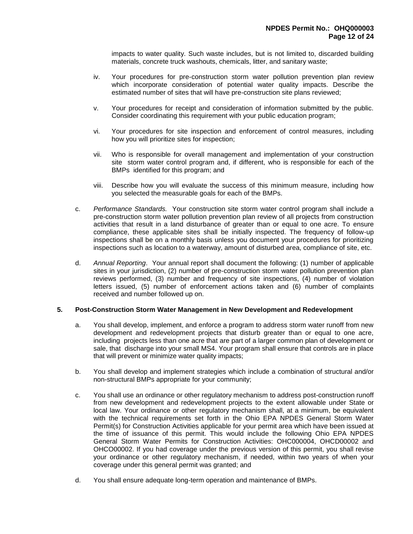impacts to water quality. Such waste includes, but is not limited to, discarded building materials, concrete truck washouts, chemicals, litter, and sanitary waste;

- iv. Your procedures for pre-construction storm water pollution prevention plan review which incorporate consideration of potential water quality impacts. Describe the estimated number of sites that will have pre-construction site plans reviewed;
- v. Your procedures for receipt and consideration of information submitted by the public. Consider coordinating this requirement with your public education program;
- vi. Your procedures for site inspection and enforcement of control measures, including how you will prioritize sites for inspection;
- vii. Who is responsible for overall management and implementation of your construction site storm water control program and, if different, who is responsible for each of the BMPs identified for this program; and
- viii. Describe how you will evaluate the success of this minimum measure, including how you selected the measurable goals for each of the BMPs.
- c. *Performance Standards.* Your construction site storm water control program shall include a pre-construction storm water pollution prevention plan review of all projects from construction activities that result in a land disturbance of greater than or equal to one acre. To ensure compliance, these applicable sites shall be initially inspected. The frequency of follow-up inspections shall be on a monthly basis unless you document your procedures for prioritizing inspections such as location to a waterway, amount of disturbed area, compliance of site, etc.
- d. *Annual Reporting*. Your annual report shall document the following: (1) number of applicable sites in your jurisdiction, (2) number of pre-construction storm water pollution prevention plan reviews performed, (3) number and frequency of site inspections, (4) number of violation letters issued, (5) number of enforcement actions taken and (6) number of complaints received and number followed up on.

## **5. Post-Construction Storm Water Management in New Development and Redevelopment**

- a. You shall develop, implement, and enforce a program to address storm water runoff from new development and redevelopment projects that disturb greater than or equal to one acre, including projects less than one acre that are part of a larger common plan of development or sale, that discharge into your small MS4. Your program shall ensure that controls are in place that will prevent or minimize water quality impacts;
- b. You shall develop and implement strategies which include a combination of structural and/or non-structural BMPs appropriate for your community;
- c. You shall use an ordinance or other regulatory mechanism to address post-construction runoff from new development and redevelopment projects to the extent allowable under State or local law. Your ordinance or other regulatory mechanism shall, at a minimum, be equivalent with the technical requirements set forth in the Ohio EPA NPDES General Storm Water Permit(s) for Construction Activities applicable for your permit area which have been issued at the time of issuance of this permit. This would include the following Ohio EPA NPDES General Storm Water Permits for Construction Activities: OHC000004, OHCD00002 and OHCO00002. If you had coverage under the previous version of this permit, you shall revise your ordinance or other regulatory mechanism, if needed, within two years of when your coverage under this general permit was granted; and
- d. You shall ensure adequate long-term operation and maintenance of BMPs.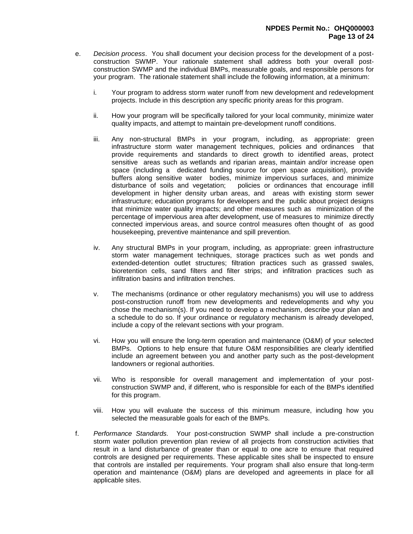- e. *Decision process*. You shall document your decision process for the development of a postconstruction SWMP. Your rationale statement shall address both your overall postconstruction SWMP and the individual BMPs, measurable goals, and responsible persons for your program. The rationale statement shall include the following information, at a minimum:
	- i. Your program to address storm water runoff from new development and redevelopment projects. Include in this description any specific priority areas for this program.
	- ii. How your program will be specifically tailored for your local community, minimize water quality impacts, and attempt to maintain pre-development runoff conditions.
	- iii. Any non-structural BMPs in your program, including, as appropriate: green infrastructure storm water management techniques, policies and ordinances that provide requirements and standards to direct growth to identified areas, protect sensitive areas such as wetlands and riparian areas, maintain and/or increase open space (including a dedicated funding source for open space acquisition), provide buffers along sensitive water bodies, minimize impervious surfaces, and minimize disturbance of soils and vegetation; policies or ordinances that encourage infill development in higher density urban areas, and areas with existing storm sewer infrastructure; education programs for developers and the public about project designs that minimize water quality impacts; and other measures such as minimization of the percentage of impervious area after development, use of measures to minimize directly connected impervious areas, and source control measures often thought of as good housekeeping, preventive maintenance and spill prevention.
	- iv. Any structural BMPs in your program, including, as appropriate: green infrastructure storm water management techniques, storage practices such as wet ponds and extended-detention outlet structures; filtration practices such as grassed swales, bioretention cells, sand filters and filter strips; and infiltration practices such as infiltration basins and infiltration trenches.
	- v. The mechanisms (ordinance or other regulatory mechanisms) you will use to address post-construction runoff from new developments and redevelopments and why you chose the mechanism(s). If you need to develop a mechanism, describe your plan and a schedule to do so. If your ordinance or regulatory mechanism is already developed, include a copy of the relevant sections with your program.
	- vi. How you will ensure the long-term operation and maintenance (O&M) of your selected BMPs. Options to help ensure that future O&M responsibilities are clearly identified include an agreement between you and another party such as the post-development landowners or regional authorities.
	- vii. Who is responsible for overall management and implementation of your postconstruction SWMP and, if different, who is responsible for each of the BMPs identified for this program.
	- viii. How you will evaluate the success of this minimum measure, including how you selected the measurable goals for each of the BMPs.
- f. *Performance Standards.* Your post-construction SWMP shall include a pre-construction storm water pollution prevention plan review of all projects from construction activities that result in a land disturbance of greater than or equal to one acre to ensure that required controls are designed per requirements. These applicable sites shall be inspected to ensure that controls are installed per requirements. Your program shall also ensure that long-term operation and maintenance (O&M) plans are developed and agreements in place for all applicable sites.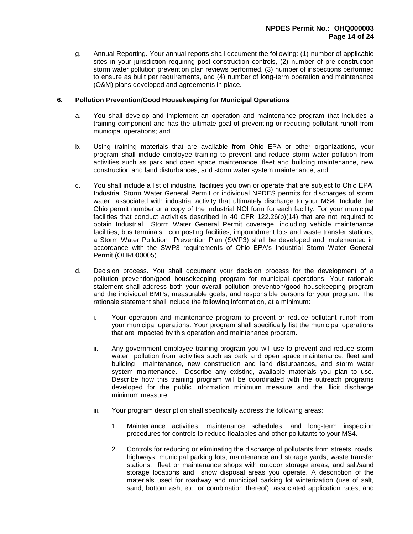g. Annual Reporting. Your annual reports shall document the following: (1) number of applicable sites in your jurisdiction requiring post-construction controls, (2) number of pre-construction storm water pollution prevention plan reviews performed, (3) number of inspections performed to ensure as built per requirements, and (4) number of long-term operation and maintenance (O&M) plans developed and agreements in place.

## **6. Pollution Prevention/Good Housekeeping for Municipal Operations**

- a. You shall develop and implement an operation and maintenance program that includes a training component and has the ultimate goal of preventing or reducing pollutant runoff from municipal operations; and
- b. Using training materials that are available from Ohio EPA or other organizations, your program shall include employee training to prevent and reduce storm water pollution from activities such as park and open space maintenance, fleet and building maintenance, new construction and land disturbances, and storm water system maintenance; and
- c. You shall include a list of industrial facilities you own or operate that are subject to Ohio EPA' Industrial Storm Water General Permit or individual NPDES permits for discharges of storm water associated with industrial activity that ultimately discharge to your MS4. Include the Ohio permit number or a copy of the Industrial NOI form for each facility. For your municipal facilities that conduct activities described in 40 CFR 122.26(b)(14) that are not required to obtain Industrial Storm Water General Permit coverage, including vehicle maintenance facilities, bus terminals, composting facilities, impoundment lots and waste transfer stations, a Storm Water Pollution Prevention Plan (SWP3) shall be developed and implemented in accordance with the SWP3 requirements of Ohio EPA's Industrial Storm Water General Permit (OHR000005).
- d. Decision process. You shall document your decision process for the development of a pollution prevention/good housekeeping program for municipal operations. Your rationale statement shall address both your overall pollution prevention/good housekeeping program and the individual BMPs, measurable goals, and responsible persons for your program. The rationale statement shall include the following information, at a minimum:
	- i. Your operation and maintenance program to prevent or reduce pollutant runoff from your municipal operations. Your program shall specifically list the municipal operations that are impacted by this operation and maintenance program.
	- ii. Any government employee training program you will use to prevent and reduce storm water pollution from activities such as park and open space maintenance, fleet and building maintenance, new construction and land disturbances, and storm water system maintenance. Describe any existing, available materials you plan to use. Describe how this training program will be coordinated with the outreach programs developed for the public information minimum measure and the illicit discharge minimum measure.
	- iii. Your program description shall specifically address the following areas:
		- 1. Maintenance activities, maintenance schedules, and long-term inspection procedures for controls to reduce floatables and other pollutants to your MS4.
		- 2. Controls for reducing or eliminating the discharge of pollutants from streets, roads, highways, municipal parking lots, maintenance and storage yards, waste transfer stations, fleet or maintenance shops with outdoor storage areas, and salt/sand storage locations and snow disposal areas you operate. A description of the materials used for roadway and municipal parking lot winterization (use of salt, sand, bottom ash, etc. or combination thereof), associated application rates, and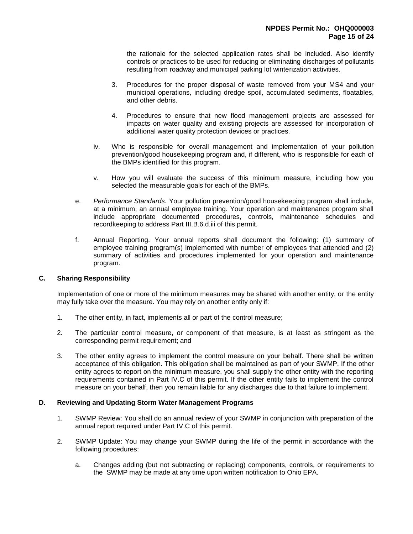the rationale for the selected application rates shall be included. Also identify controls or practices to be used for reducing or eliminating discharges of pollutants resulting from roadway and municipal parking lot winterization activities.

- 3. Procedures for the proper disposal of waste removed from your MS4 and your municipal operations, including dredge spoil, accumulated sediments, floatables, and other debris.
- 4. Procedures to ensure that new flood management projects are assessed for impacts on water quality and existing projects are assessed for incorporation of additional water quality protection devices or practices.
- iv. Who is responsible for overall management and implementation of your pollution prevention/good housekeeping program and, if different, who is responsible for each of the BMPs identified for this program.
- v. How you will evaluate the success of this minimum measure, including how you selected the measurable goals for each of the BMPs.
- e. *Performance Standards.* Your pollution prevention/good housekeeping program shall include, at a minimum, an annual employee training. Your operation and maintenance program shall include appropriate documented procedures, controls, maintenance schedules and recordkeeping to address Part III.B.6.d.iii of this permit.
- f. Annual Reporting. Your annual reports shall document the following: (1) summary of employee training program(s) implemented with number of employees that attended and (2) summary of activities and procedures implemented for your operation and maintenance program.

## **C. Sharing Responsibility**

Implementation of one or more of the minimum measures may be shared with another entity, or the entity may fully take over the measure. You may rely on another entity only if:

- 1. The other entity, in fact, implements all or part of the control measure;
- 2. The particular control measure, or component of that measure, is at least as stringent as the corresponding permit requirement; and
- 3. The other entity agrees to implement the control measure on your behalf. There shall be written acceptance of this obligation. This obligation shall be maintained as part of your SWMP. If the other entity agrees to report on the minimum measure, you shall supply the other entity with the reporting requirements contained in Part IV.C of this permit. If the other entity fails to implement the control measure on your behalf, then you remain liable for any discharges due to that failure to implement.

## **D. Reviewing and Updating Storm Water Management Programs**

- 1. SWMP Review: You shall do an annual review of your SWMP in conjunction with preparation of the annual report required under Part IV.C of this permit.
- 2. SWMP Update: You may change your SWMP during the life of the permit in accordance with the following procedures:
	- a. Changes adding (but not subtracting or replacing) components, controls, or requirements to the SWMP may be made at any time upon written notification to Ohio EPA.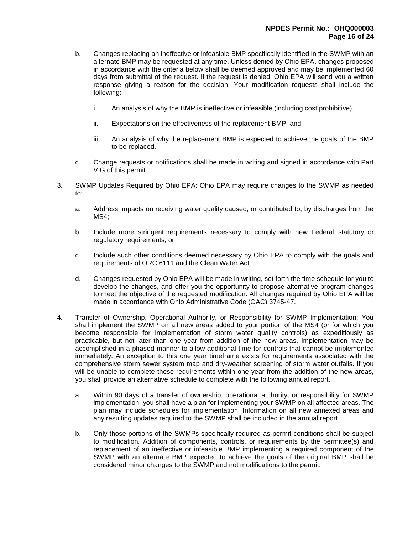- b. Changes replacing an ineffective or infeasible BMP specifically identified in the SWMP with an alternate BMP may be requested at any time. Unless denied by Ohio EPA, changes proposed in accordance with the criteria below shall be deemed approved and may be implemented 60 days from submittal of the request. If the request is denied, Ohio EPA will send you a written response giving a reason for the decision. Your modification requests shall include the following:
	- i. An analysis of why the BMP is ineffective or infeasible (including cost prohibitive),
	- ii. Expectations on the effectiveness of the replacement BMP, and
	- iii. An analysis of why the replacement BMP is expected to achieve the goals of the BMP to be replaced.
- c. Change requests or notifications shall be made in writing and signed in accordance with Part V.G of this permit.
- 3. SWMP Updates Required by Ohio EPA: Ohio EPA may require changes to the SWMP as needed to:
	- a. Address impacts on receiving water quality caused, or contributed to, by discharges from the MS4;
	- b. Include more stringent requirements necessary to comply with new Federal statutory or regulatory requirements; or
	- c. Include such other conditions deemed necessary by Ohio EPA to comply with the goals and requirements of ORC 6111 and the Clean Water Act.
	- d. Changes requested by Ohio EPA will be made in writing, set forth the time schedule for you to develop the changes, and offer you the opportunity to propose alternative program changes to meet the objective of the requested modification. All changes required by Ohio EPA will be made in accordance with Ohio Administrative Code (OAC) 3745-47.
- 4. Transfer of Ownership, Operational Authority, or Responsibility for SWMP Implementation: You shall implement the SWMP on all new areas added to your portion of the MS4 (or for which you become responsible for implementation of storm water quality controls) as expeditiously as practicable, but not later than one year from addition of the new areas. Implementation may be accomplished in a phased manner to allow additional time for controls that cannot be implemented immediately. An exception to this one year timeframe exists for requirements associated with the comprehensive storm sewer system map and dry-weather screening of storm water outfalls. If you will be unable to complete these requirements within one year from the addition of the new areas, you shall provide an alternative schedule to complete with the following annual report.
	- a. Within 90 days of a transfer of ownership, operational authority, or responsibility for SWMP implementation, you shall have a plan for implementing your SWMP on all affected areas. The plan may include schedules for implementation. Information on all new annexed areas and any resulting updates required to the SWMP shall be included in the annual report.
	- b. Only those portions of the SWMPs specifically required as permit conditions shall be subject to modification. Addition of components, controls, or requirements by the permittee(s) and replacement of an ineffective or infeasible BMP implementing a required component of the SWMP with an alternate BMP expected to achieve the goals of the original BMP shall be considered minor changes to the SWMP and not modifications to the permit.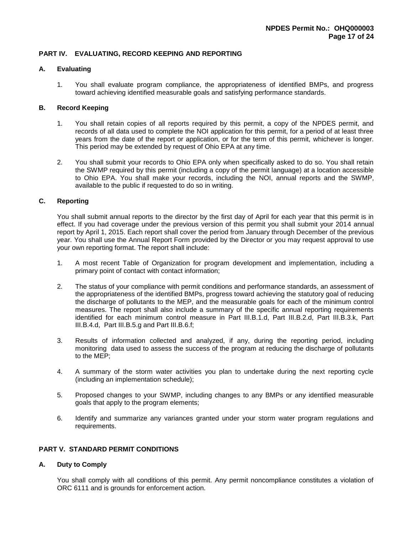## **PART IV. EVALUATING, RECORD KEEPING AND REPORTING**

### **A. Evaluating**

1. You shall evaluate program compliance, the appropriateness of identified BMPs, and progress toward achieving identified measurable goals and satisfying performance standards.

## **B. Record Keeping**

- 1. You shall retain copies of all reports required by this permit, a copy of the NPDES permit, and records of all data used to complete the NOI application for this permit, for a period of at least three years from the date of the report or application, or for the term of this permit, whichever is longer. This period may be extended by request of Ohio EPA at any time.
- 2. You shall submit your records to Ohio EPA only when specifically asked to do so. You shall retain the SWMP required by this permit (including a copy of the permit language) at a location accessible to Ohio EPA. You shall make your records, including the NOI, annual reports and the SWMP, available to the public if requested to do so in writing.

### **C. Reporting**

You shall submit annual reports to the director by the first day of April for each year that this permit is in effect. If you had coverage under the previous version of this permit you shall submit your 2014 annual report by April 1, 2015. Each report shall cover the period from January through December of the previous year. You shall use the Annual Report Form provided by the Director or you may request approval to use your own reporting format. The report shall include:

- 1. A most recent Table of Organization for program development and implementation, including a primary point of contact with contact information;
- 2. The status of your compliance with permit conditions and performance standards, an assessment of the appropriateness of the identified BMPs, progress toward achieving the statutory goal of reducing the discharge of pollutants to the MEP, and the measurable goals for each of the minimum control measures. The report shall also include a summary of the specific annual reporting requirements identified for each minimum control measure in Part III.B.1.d, Part III.B.2.d, Part III.B.3.k, Part III.B.4.d, Part III.B.5.g and Part III.B.6.f;
- 3. Results of information collected and analyzed, if any, during the reporting period, including monitoring data used to assess the success of the program at reducing the discharge of pollutants to the MEP;
- 4. A summary of the storm water activities you plan to undertake during the next reporting cycle (including an implementation schedule);
- 5. Proposed changes to your SWMP, including changes to any BMPs or any identified measurable goals that apply to the program elements;
- 6. Identify and summarize any variances granted under your storm water program regulations and requirements.

### **PART V. STANDARD PERMIT CONDITIONS**

## **A. Duty to Comply**

You shall comply with all conditions of this permit. Any permit noncompliance constitutes a violation of ORC 6111 and is grounds for enforcement action.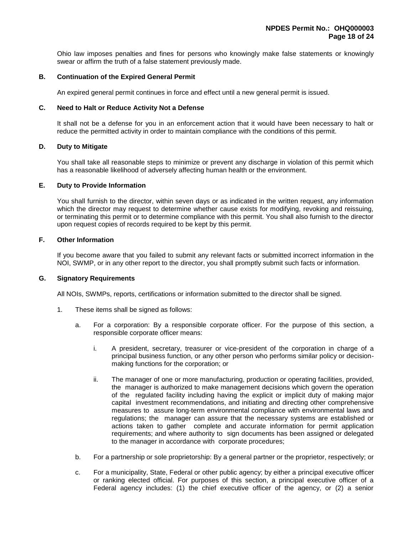Ohio law imposes penalties and fines for persons who knowingly make false statements or knowingly swear or affirm the truth of a false statement previously made.

### **B. Continuation of the Expired General Permit**

An expired general permit continues in force and effect until a new general permit is issued.

### **C. Need to Halt or Reduce Activity Not a Defense**

It shall not be a defense for you in an enforcement action that it would have been necessary to halt or reduce the permitted activity in order to maintain compliance with the conditions of this permit.

### **D. Duty to Mitigate**

You shall take all reasonable steps to minimize or prevent any discharge in violation of this permit which has a reasonable likelihood of adversely affecting human health or the environment.

## **E. Duty to Provide Information**

You shall furnish to the director, within seven days or as indicated in the written request, any information which the director may request to determine whether cause exists for modifying, revoking and reissuing, or terminating this permit or to determine compliance with this permit. You shall also furnish to the director upon request copies of records required to be kept by this permit.

## **F. Other Information**

If you become aware that you failed to submit any relevant facts or submitted incorrect information in the NOI, SWMP, or in any other report to the director, you shall promptly submit such facts or information.

#### **G. Signatory Requirements**

All NOIs, SWMPs, reports, certifications or information submitted to the director shall be signed.

- 1. These items shall be signed as follows:
	- a. For a corporation: By a responsible corporate officer. For the purpose of this section, a responsible corporate officer means:
		- i. A president, secretary, treasurer or vice-president of the corporation in charge of a principal business function, or any other person who performs similar policy or decisionmaking functions for the corporation; or
		- ii. The manager of one or more manufacturing, production or operating facilities, provided, the manager is authorized to make management decisions which govern the operation of the regulated facility including having the explicit or implicit duty of making major capital investment recommendations, and initiating and directing other comprehensive measures to assure long-term environmental compliance with environmental laws and regulations; the manager can assure that the necessary systems are established or actions taken to gather complete and accurate information for permit application requirements; and where authority to sign documents has been assigned or delegated to the manager in accordance with corporate procedures;
	- b. For a partnership or sole proprietorship: By a general partner or the proprietor, respectively; or
	- c. For a municipality, State, Federal or other public agency; by either a principal executive officer or ranking elected official. For purposes of this section, a principal executive officer of a Federal agency includes: (1) the chief executive officer of the agency, or (2) a senior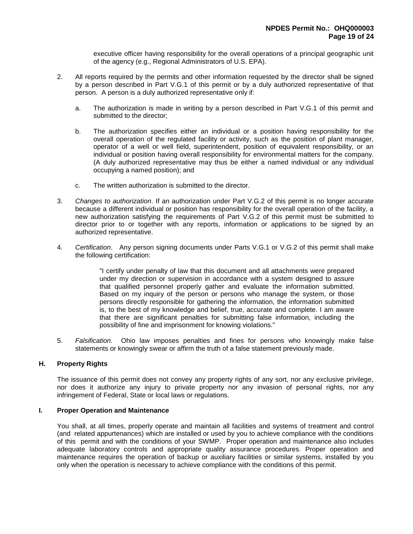executive officer having responsibility for the overall operations of a principal geographic unit of the agency (e.g., Regional Administrators of U.S. EPA).

- 2. All reports required by the permits and other information requested by the director shall be signed by a person described in Part V.G.1 of this permit or by a duly authorized representative of that person. A person is a duly authorized representative only if:
	- a. The authorization is made in writing by a person described in Part V.G.1 of this permit and submitted to the director;
	- b. The authorization specifies either an individual or a position having responsibility for the overall operation of the regulated facility or activity, such as the position of plant manager, operator of a well or well field, superintendent, position of equivalent responsibility, or an individual or position having overall responsibility for environmental matters for the company. (A duly authorized representative may thus be either a named individual or any individual occupying a named position); and
	- c. The written authorization is submitted to the director.
- 3. *Changes to authorization*. If an authorization under Part V.G.2 of this permit is no longer accurate because a different individual or position has responsibility for the overall operation of the facility, a new authorization satisfying the requirements of Part V.G.2 of this permit must be submitted to director prior to or together with any reports, information or applications to be signed by an authorized representative.
- 4. *Certification*. Any person signing documents under Parts V.G.1 or V.G.2 of this permit shall make the following certification:

"I certify under penalty of law that this document and all attachments were prepared under my direction or supervision in accordance with a system designed to assure that qualified personnel properly gather and evaluate the information submitted. Based on my inquiry of the person or persons who manage the system, or those persons directly responsible for gathering the information, the information submitted is, to the best of my knowledge and belief, true, accurate and complete. I am aware that there are significant penalties for submitting false information, including the possibility of fine and imprisonment for knowing violations."

5. *Falsification.* Ohio law imposes penalties and fines for persons who knowingly make false statements or knowingly swear or affirm the truth of a false statement previously made.

## **H. Property Rights**

The issuance of this permit does not convey any property rights of any sort, nor any exclusive privilege, nor does it authorize any injury to private property nor any invasion of personal rights, nor any infringement of Federal, State or local laws or regulations.

#### **I. Proper Operation and Maintenance**

You shall, at all times, properly operate and maintain all facilities and systems of treatment and control (and related appurtenances) which are installed or used by you to achieve compliance with the conditions of this permit and with the conditions of your SWMP. Proper operation and maintenance also includes adequate laboratory controls and appropriate quality assurance procedures. Proper operation and maintenance requires the operation of backup or auxiliary facilities or similar systems, installed by you only when the operation is necessary to achieve compliance with the conditions of this permit.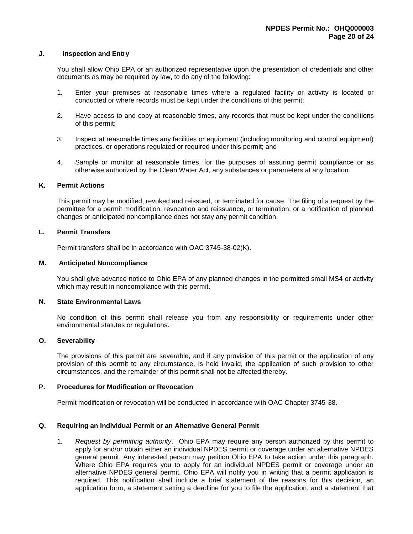#### **J. Inspection and Entry**

You shall allow Ohio EPA or an authorized representative upon the presentation of credentials and other documents as may be required by law, to do any of the following:

- 1. Enter your premises at reasonable times where a regulated facility or activity is located or conducted or where records must be kept under the conditions of this permit;
- 2. Have access to and copy at reasonable times, any records that must be kept under the conditions of this permit;
- 3. Inspect at reasonable times any facilities or equipment (including monitoring and control equipment) practices, or operations regulated or required under this permit; and
- 4. Sample or monitor at reasonable times, for the purposes of assuring permit compliance or as otherwise authorized by the Clean Water Act, any substances or parameters at any location.

## **K. Permit Actions**

This permit may be modified, revoked and reissued, or terminated for cause. The filing of a request by the permittee for a permit modification, revocation and reissuance, or termination, or a notification of planned changes or anticipated noncompliance does not stay any permit condition.

#### **L. Permit Transfers**

Permit transfers shall be in accordance with OAC 3745-38-02(K).

#### **M. Anticipated Noncompliance**

You shall give advance notice to Ohio EPA of any planned changes in the permitted small MS4 or activity which may result in noncompliance with this permit.

## **N. State Environmental Laws**

No condition of this permit shall release you from any responsibility or requirements under other environmental statutes or regulations.

### **O. Severability**

The provisions of this permit are severable, and if any provision of this permit or the application of any provision of this permit to any circumstance, is held invalid, the application of such provision to other circumstances, and the remainder of this permit shall not be affected thereby.

## **P. Procedures for Modification or Revocation**

Permit modification or revocation will be conducted in accordance with OAC Chapter 3745-38.

#### **Q. Requiring an Individual Permit or an Alternative General Permit**

1. *Request by permitting authority*. Ohio EPA may require any person authorized by this permit to apply for and/or obtain either an individual NPDES permit or coverage under an alternative NPDES general permit. Any interested person may petition Ohio EPA to take action under this paragraph. Where Ohio EPA requires you to apply for an individual NPDES permit or coverage under an alternative NPDES general permit, Ohio EPA will notify you in writing that a permit application is required. This notification shall include a brief statement of the reasons for this decision, an application form, a statement setting a deadline for you to file the application, and a statement that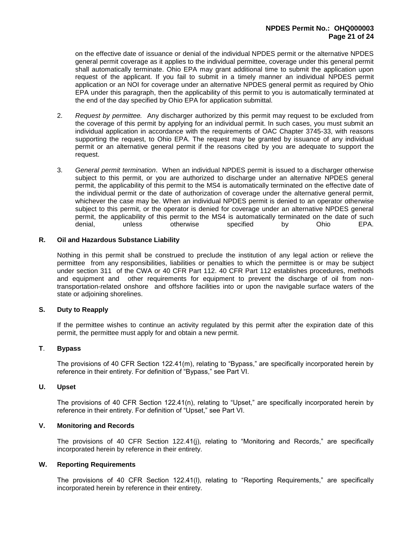on the effective date of issuance or denial of the individual NPDES permit or the alternative NPDES general permit coverage as it applies to the individual permittee, coverage under this general permit shall automatically terminate. Ohio EPA may grant additional time to submit the application upon request of the applicant. If you fail to submit in a timely manner an individual NPDES permit application or an NOI for coverage under an alternative NPDES general permit as required by Ohio EPA under this paragraph, then the applicability of this permit to you is automatically terminated at the end of the day specified by Ohio EPA for application submittal.

- 2. *Request by permittee.* Any discharger authorized by this permit may request to be excluded from the coverage of this permit by applying for an individual permit. In such cases, you must submit an individual application in accordance with the requirements of OAC Chapter 3745-33, with reasons supporting the request, to Ohio EPA. The request may be granted by issuance of any individual permit or an alternative general permit if the reasons cited by you are adequate to support the request.
- 3. *General permit termination*. When an individual NPDES permit is issued to a discharger otherwise subject to this permit, or you are authorized to discharge under an alternative NPDES general permit, the applicability of this permit to the MS4 is automatically terminated on the effective date of the individual permit or the date of authorization of coverage under the alternative general permit, whichever the case may be. When an individual NPDES permit is denied to an operator otherwise subject to this permit, or the operator is denied for coverage under an alternative NPDES general permit, the applicability of this permit to the MS4 is automatically terminated on the date of such denial, unless otherwise specified by Ohio EPA.

### **R. Oil and Hazardous Substance Liability**

Nothing in this permit shall be construed to preclude the institution of any legal action or relieve the permittee from any responsibilities, liabilities or penalties to which the permittee is or may be subject under section 311 of the CWA or 40 CFR Part 112. 40 CFR Part 112 establishes procedures, methods and equipment and other requirements for equipment to prevent the discharge of oil from nontransportation-related onshore and offshore facilities into or upon the navigable surface waters of the state or adjoining shorelines.

## **S. Duty to Reapply**

If the permittee wishes to continue an activity regulated by this permit after the expiration date of this permit, the permittee must apply for and obtain a new permit.

## **T**. **Bypass**

The provisions of 40 CFR Section 122.41(m), relating to "Bypass," are specifically incorporated herein by reference in their entirety. For definition of "Bypass," see Part VI.

#### **U. Upset**

The provisions of 40 CFR Section 122.41(n), relating to "Upset," are specifically incorporated herein by reference in their entirety. For definition of "Upset," see Part VI.

#### **V. Monitoring and Records**

The provisions of 40 CFR Section 122.41(j), relating to "Monitoring and Records," are specifically incorporated herein by reference in their entirety.

#### **W. Reporting Requirements**

The provisions of 40 CFR Section 122.41(l), relating to "Reporting Requirements," are specifically incorporated herein by reference in their entirety.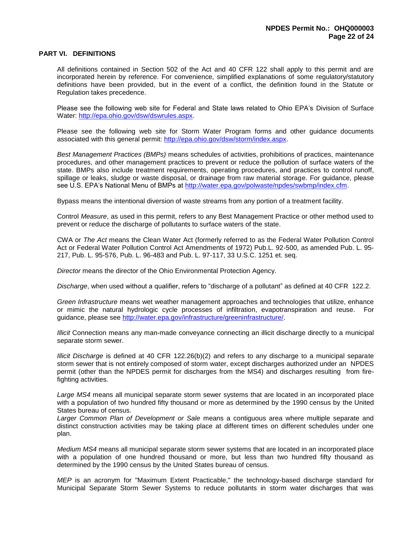## **PART VI. DEFINITIONS**

All definitions contained in Section 502 of the Act and 40 CFR 122 shall apply to this permit and are incorporated herein by reference. For convenience, simplified explanations of some regulatory/statutory definitions have been provided, but in the event of a conflict, the definition found in the Statute or Regulation takes precedence.

Please see the following web site for Federal and State laws related to Ohio EPA's Division of Surface Water: [http://epa.ohio.gov/dsw/dswrules.aspx.](http://epa.ohio.gov/dsw/dswrules.aspx)

Please see the following web site for Storm Water Program forms and other guidance documents associated with this general permit: [http://epa.ohio.gov/dsw/storm/index.aspx.](http://epa.ohio.gov/dsw/storm/index.aspx)

*Best Management Practices (BMPs)* means schedules of activities, prohibitions of practices, maintenance procedures, and other management practices to prevent or reduce the pollution of surface waters of the state. BMPs also include treatment requirements, operating procedures, and practices to control runoff, spillage or leaks, sludge or waste disposal, or drainage from raw material storage. For guidance, please see U.S. EPA's National Menu of BMPs at [http://water.epa.gov/polwaste/npdes/swbmp/index.cfm.](http://water.epa.gov/polwaste/npdes/swbmp/index.cfm)

Bypass means the intentional diversion of waste streams from any portion of a treatment facility.

Control *Measure*, as used in this permit, refers to any Best Management Practice or other method used to prevent or reduce the discharge of pollutants to surface waters of the state.

CWA or *The Act* means the Clean Water Act (formerly referred to as the Federal Water Pollution Control Act or Federal Water Pollution Control Act Amendments of 1972) Pub.L. 92-500, as amended Pub. L. 95- 217, Pub. L. 95-576, Pub. L. 96-483 and Pub. L. 97-117, 33 U.S.C. 1251 et. seq.

*Director* means the director of the Ohio Environmental Protection Agency.

*Discharge*, when used without a qualifier, refers to "discharge of a pollutant" as defined at 40 CFR 122.2.

*Green Infrastructure* means wet weather management approaches and technologies that utilize, enhance or mimic the natural hydrologic cycle processes of infiltration, evapotranspiration and reuse. For guidance, please see [http://water.epa.gov/infrastructure/greeninfrastructure/.](http://water.epa.gov/infrastructure/greeninfrastructure/)

*Illicit* Connection means any man-made conveyance connecting an illicit discharge directly to a municipal separate storm sewer.

*Illicit Discharge* is defined at 40 CFR 122.26(b)(2) and refers to any discharge to a municipal separate storm sewer that is not entirely composed of storm water, except discharges authorized under an NPDES permit (other than the NPDES permit for discharges from the MS4) and discharges resulting from firefighting activities.

*Large MS4* means all municipal separate storm sewer systems that are located in an incorporated place with a population of two hundred fifty thousand or more as determined by the 1990 census by the United States bureau of census.

*Larger Common Plan of Development or Sale* means a contiguous area where multiple separate and distinct construction activities may be taking place at different times on different schedules under one plan.

*Medium MS4* means all municipal separate storm sewer systems that are located in an incorporated place with a population of one hundred thousand or more, but less than two hundred fifty thousand as determined by the 1990 census by the United States bureau of census.

*MEP* is an acronym for "Maximum Extent Practicable," the technology-based discharge standard for Municipal Separate Storm Sewer Systems to reduce pollutants in storm water discharges that was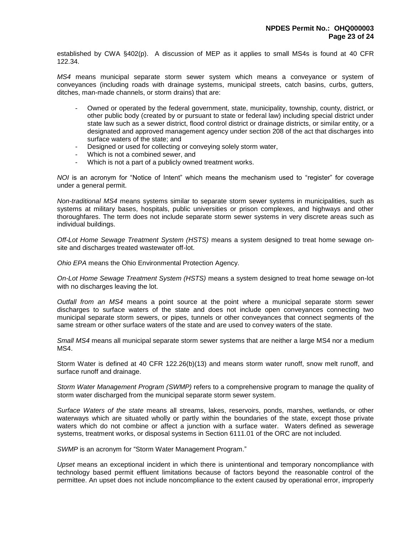established by CWA §402(p). A discussion of MEP as it applies to small MS4s is found at 40 CFR 122.34.

*MS4* means municipal separate storm sewer system which means a conveyance or system of conveyances (including roads with drainage systems, municipal streets, catch basins, curbs, gutters, ditches, man-made channels, or storm drains) that are:

- Owned or operated by the federal government, state, municipality, township, county, district, or other public body (created by or pursuant to state or federal law) including special district under state law such as a sewer district, flood control district or drainage districts, or similar entity, or a designated and approved management agency under section 208 of the act that discharges into surface waters of the state; and
- Designed or used for collecting or conveying solely storm water,
- Which is not a combined sewer, and
- Which is not a part of a publicly owned treatment works.

*NOI* is an acronym for "Notice of Intent" which means the mechanism used to "register" for coverage under a general permit.

*Non-traditional MS4* means systems similar to separate storm sewer systems in municipalities, such as systems at military bases, hospitals, public universities or prison complexes, and highways and other thoroughfares. The term does not include separate storm sewer systems in very discrete areas such as individual buildings.

*Off-Lot Home Sewage Treatment System (HSTS)* means a system designed to treat home sewage onsite and discharges treated wastewater off-lot.

*Ohio EPA* means the Ohio Environmental Protection Agency.

*On-Lot Home Sewage Treatment System (HSTS)* means a system designed to treat home sewage on-lot with no discharges leaving the lot.

*Outfall from an MS4* means a point source at the point where a municipal separate storm sewer discharges to surface waters of the state and does not include open conveyances connecting two municipal separate storm sewers, or pipes, tunnels or other conveyances that connect segments of the same stream or other surface waters of the state and are used to convey waters of the state.

*Small MS4* means all municipal separate storm sewer systems that are neither a large MS4 nor a medium MS4.

Storm Water is defined at 40 CFR 122.26(b)(13) and means storm water runoff, snow melt runoff, and surface runoff and drainage.

*Storm Water Management Program (SWMP)* refers to a comprehensive program to manage the quality of storm water discharged from the municipal separate storm sewer system.

*Surface Waters of the state* means all streams, lakes, reservoirs, ponds, marshes, wetlands, or other waterways which are situated wholly or partly within the boundaries of the state, except those private waters which do not combine or affect a junction with a surface water. Waters defined as sewerage systems, treatment works, or disposal systems in Section 6111.01 of the ORC are not included.

*SWMP* is an acronym for "Storm Water Management Program."

*Upset* means an exceptional incident in which there is unintentional and temporary noncompliance with technology based permit effluent limitations because of factors beyond the reasonable control of the permittee. An upset does not include noncompliance to the extent caused by operational error, improperly